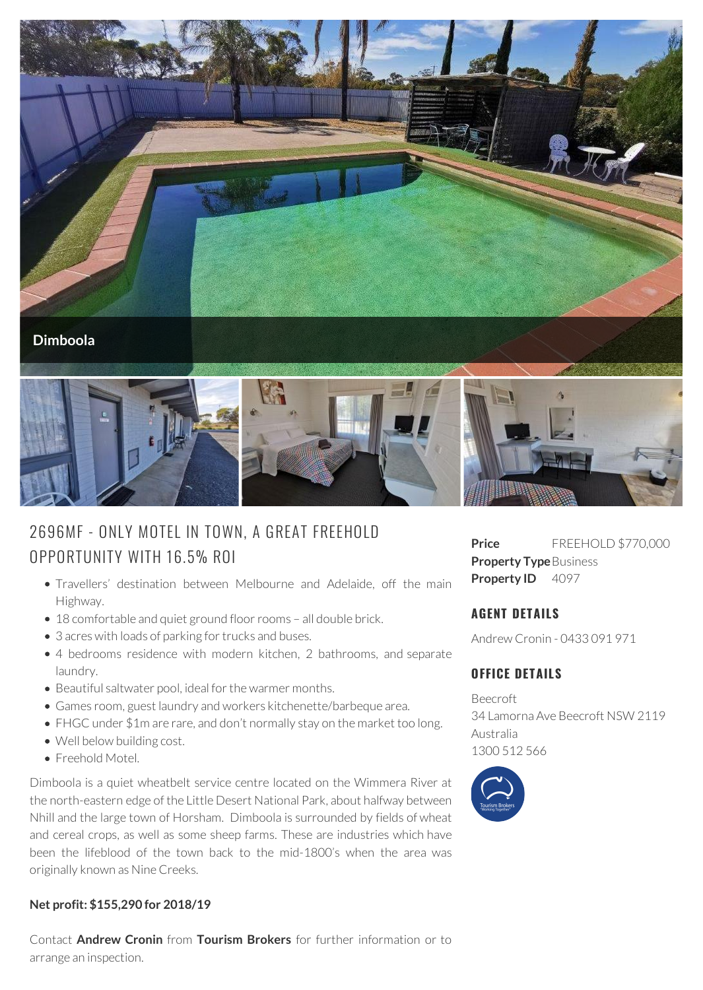

# 2696MF - ONLY MOTEL IN TOWN, A G REAT FREEHOLD OPPORTUNITY WITH 16.5% ROI

- Travellers' destination between Melbourne and Adelaide, off the main Highway.
- 18 comfortable and quiet ground floor rooms all double brick.
- 3 acres with loads of parking for trucks and buses.
- 4 bedrooms residence with modern kitchen, 2 bathrooms, and separate laundry.
- Beautiful saltwater pool, ideal for the warmer months.
- Games room, guest laundry and workers kitchenette/barbeque area.
- FHGC under \$1m are rare, and don't normally stay on the market too long.
- Well below building cost.
- Freehold Motel.

Dimboola is a quiet wheatbelt service centre located on the Wimmera River at the north-eastern edge of the Little Desert National Park, about halfway between Nhill and the large town of Horsham. Dimboola is surrounded by fields of wheat and cereal crops, as well as some sheep farms. These are industries which have been the lifeblood of the town back to the mid-1800's when the area was originally known as Nine Creeks.

#### **Net profit: \$155,290 for 2018/19**

Contact **Andrew Cronin** from **Tourism Brokers** for further information or to arrange an inspection.

**Price** FREEHOLD \$770,000 **Property Type Business Property ID** 4097

## **AGENT DETAILS**

Andrew Cronin - 0433 091 971

## **OFFICE DETAILS**

Beecroft 34 Lamorna Ave Beecroft NSW 2119 Australia 1300 512 566